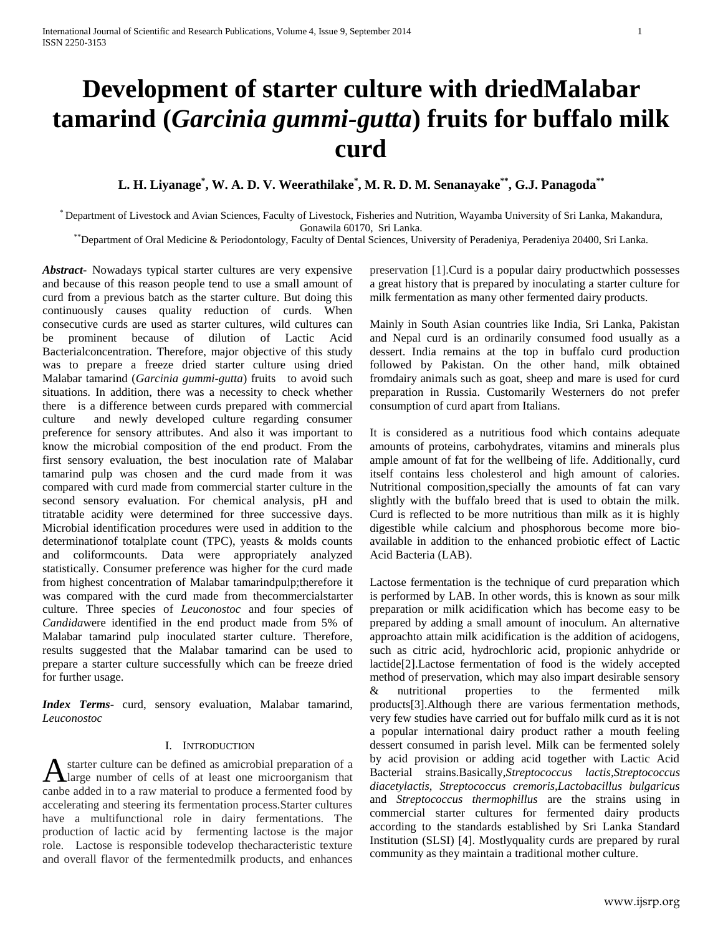# **Development of starter culture with driedMalabar tamarind (***Garcinia gummi-gutta***) fruits for buffalo milk curd**

# **L. H. Liyanage\* , W. A. D. V. Weerathilake\* , M. R. D. M. Senanayake\*\* , G.J. Panagoda\*\***

\* Department of Livestock and Avian Sciences, Faculty of Livestock, Fisheries and Nutrition, Wayamba University of Sri Lanka, Makandura, Gonawila 60170, Sri Lanka.

\*\*Department of Oral Medicine & Periodontology, Faculty of Dental Sciences, University of Peradeniya, Peradeniya 20400, Sri Lanka.

*Abstract***-** Nowadays typical starter cultures are very expensive and because of this reason people tend to use a small amount of curd from a previous batch as the starter culture. But doing this continuously causes quality reduction of curds. When consecutive curds are used as starter cultures, wild cultures can be prominent because of dilution of Lactic Acid Bacterialconcentration. Therefore, major objective of this study was to prepare a freeze dried starter culture using dried Malabar tamarind (*Garcinia gummi-gutta*) fruits to avoid such situations. In addition, there was a necessity to check whether there is a difference between curds prepared with commercial culture and newly developed culture regarding consumer preference for sensory attributes. And also it was important to know the microbial composition of the end product. From the first sensory evaluation, the best inoculation rate of Malabar tamarind pulp was chosen and the curd made from it was compared with curd made from commercial starter culture in the second sensory evaluation. For chemical analysis, pH and titratable acidity were determined for three successive days. Microbial identification procedures were used in addition to the determinationof totalplate count (TPC), yeasts & molds counts and coliformcounts. Data were appropriately analyzed statistically. Consumer preference was higher for the curd made from highest concentration of Malabar tamarindpulp;therefore it was compared with the curd made from thecommercialstarter culture. Three species of *Leuconostoc* and four species of *Candida*were identified in the end product made from 5% of Malabar tamarind pulp inoculated starter culture. Therefore, results suggested that the Malabar tamarind can be used to prepare a starter culture successfully which can be freeze dried for further usage.

*Index Terms*- curd, sensory evaluation, Malabar tamarind, *Leuconostoc*

#### I. INTRODUCTION

starter culture can be defined as amicrobial preparation of a A starter culture can be defined as amicrobial preparation of a large number of cells of at least one microorganism that canbe added in to a raw material to produce a fermented food by accelerating and steering its fermentation process.Starter cultures have a multifunctional role in dairy fermentations. The production of lactic acid by fermenting lactose is the major role. Lactose is responsible todevelop thecharacteristic texture and overall flavor of the fermentedmilk products, and enhances

preservation [1].Curd is a popular dairy productwhich possesses a great history that is prepared by inoculating a starter culture for milk fermentation as many other fermented dairy products.

Mainly in South Asian countries like India, Sri Lanka, Pakistan and Nepal curd is an ordinarily consumed food usually as a dessert. India remains at the top in buffalo curd production followed by Pakistan. On the other hand, milk obtained fromdairy animals such as goat, sheep and mare is used for curd preparation in Russia. Customarily Westerners do not prefer consumption of curd apart from Italians.

It is considered as a nutritious food which contains adequate amounts of proteins, carbohydrates, vitamins and minerals plus ample amount of fat for the wellbeing of life. Additionally, curd itself contains less cholesterol and high amount of calories. Nutritional composition,specially the amounts of fat can vary slightly with the buffalo breed that is used to obtain the milk. Curd is reflected to be more nutritious than milk as it is highly digestible while calcium and phosphorous become more bioavailable in addition to the enhanced probiotic effect of Lactic Acid Bacteria (LAB).

Lactose fermentation is the technique of curd preparation which is performed by LAB. In other words, this is known as sour milk preparation or milk acidification which has become easy to be prepared by adding a small amount of inoculum. An alternative approachto attain milk acidification is the addition of acidogens, such as citric acid, hydrochloric acid, propionic anhydride or lactide[2].Lactose fermentation of food is the widely accepted method of preservation, which may also impart desirable sensory & nutritional properties to the fermented milk products[3].Although there are various fermentation methods, very few studies have carried out for buffalo milk curd as it is not a popular international dairy product rather a mouth feeling dessert consumed in parish level. Milk can be fermented solely by acid provision or adding acid together with Lactic Acid Bacterial strains.Basically,*Streptococcus lactis,Streptococcus diacetylactis*, *Streptococcus cremoris,Lactobacillus bulgaricus* and *Streptococcus thermophillus* are the strains using in commercial starter cultures for fermented dairy products according to the standards established by Sri Lanka Standard Institution (SLSI) [4]. Mostlyquality curds are prepared by rural community as they maintain a traditional mother culture.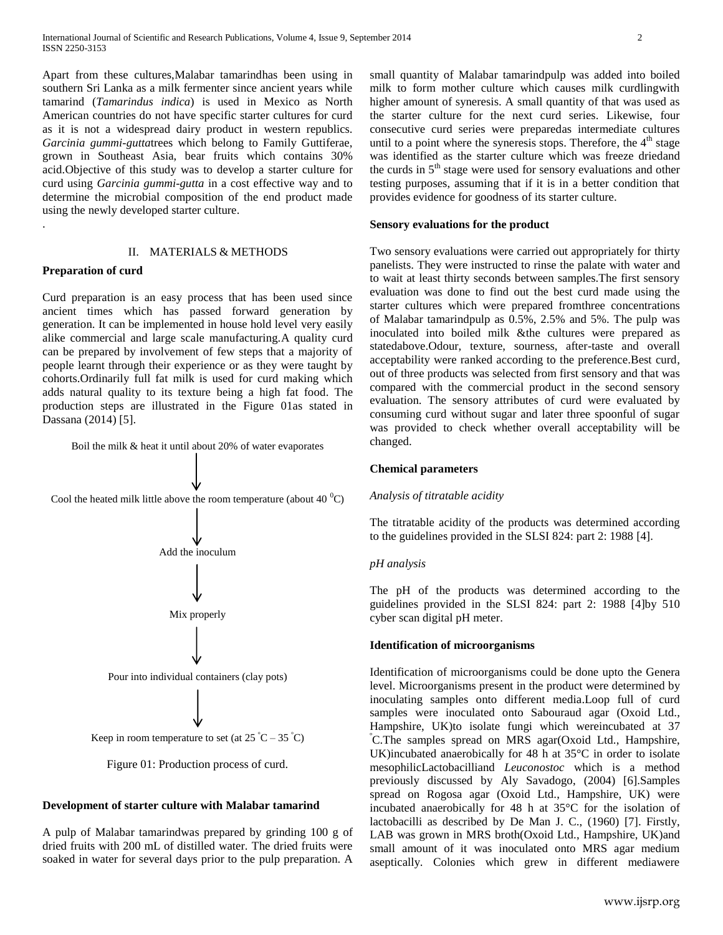Apart from these cultures,Malabar tamarindhas been using in southern Sri Lanka as a milk fermenter since ancient years while tamarind (*Tamarindus indica*) is used in Mexico as North American countries do not have specific starter cultures for curd as it is not a widespread dairy product in western republics. *Garcinia gummi-gutta*trees which belong to Family Guttiferae, grown in Southeast Asia, bear fruits which contains 30% acid.Objective of this study was to develop a starter culture for curd using *Garcinia gummi-gutta* in a cost effective way and to determine the microbial composition of the end product made using the newly developed starter culture.

# II. MATERIALS & METHODS

#### **Preparation of curd**

.

Curd preparation is an easy process that has been used since ancient times which has passed forward generation by generation. It can be implemented in house hold level very easily alike commercial and large scale manufacturing.A quality curd can be prepared by involvement of few steps that a majority of people learnt through their experience or as they were taught by cohorts.Ordinarily full fat milk is used for curd making which adds natural quality to its texture being a high fat food. The production steps are illustrated in the Figure 01as stated in Dassana (2014) [5].

Boil the milk & heat it until about 20% of water evaporates





# **Development of starter culture with Malabar tamarind**

A pulp of Malabar tamarindwas prepared by grinding 100 g of dried fruits with 200 mL of distilled water. The dried fruits were soaked in water for several days prior to the pulp preparation. A small quantity of Malabar tamarindpulp was added into boiled milk to form mother culture which causes milk curdlingwith higher amount of syneresis. A small quantity of that was used as the starter culture for the next curd series. Likewise, four consecutive curd series were preparedas intermediate cultures until to a point where the syneresis stops. Therefore, the  $4<sup>th</sup>$  stage was identified as the starter culture which was freeze driedand the curds in  $5<sup>th</sup>$  stage were used for sensory evaluations and other testing purposes, assuming that if it is in a better condition that provides evidence for goodness of its starter culture.

#### **Sensory evaluations for the product**

Two sensory evaluations were carried out appropriately for thirty panelists. They were instructed to rinse the palate with water and to wait at least thirty seconds between samples.The first sensory evaluation was done to find out the best curd made using the starter cultures which were prepared fromthree concentrations of Malabar tamarindpulp as 0.5%, 2.5% and 5%. The pulp was inoculated into boiled milk &the cultures were prepared as statedabove.Odour, texture, sourness, after-taste and overall acceptability were ranked according to the preference.Best curd, out of three products was selected from first sensory and that was compared with the commercial product in the second sensory evaluation. The sensory attributes of curd were evaluated by consuming curd without sugar and later three spoonful of sugar was provided to check whether overall acceptability will be changed.

#### **Chemical parameters**

# *Analysis of titratable acidity*

The titratable acidity of the products was determined according to the guidelines provided in the SLSI 824: part 2: 1988 [4].

## *pH analysis*

The pH of the products was determined according to the guidelines provided in the SLSI 824: part 2: 1988 [4]by 510 cyber scan digital pH meter.

#### **Identification of microorganisms**

Identification of microorganisms could be done upto the Genera level. Microorganisms present in the product were determined by inoculating samples onto different media.Loop full of curd samples were inoculated onto Sabouraud agar (Oxoid Ltd., Hampshire, UK)to isolate fungi which wereincubated at 37 <sup>º</sup>C.The samples spread on MRS agar(Oxoid Ltd., Hampshire, UK)incubated anaerobically for 48 h at 35°C in order to isolate mesophilicLactobacilliand *Leuconostoc* which is a method previously discussed by Aly Savadogo, (2004) [6].Samples spread on Rogosa agar (Oxoid Ltd., Hampshire, UK) were incubated anaerobically for 48 h at 35°C for the isolation of lactobacilli as described by De Man J. C., (1960) [7]. Firstly, LAB was grown in MRS broth(Oxoid Ltd., Hampshire, UK)and small amount of it was inoculated onto MRS agar medium aseptically. Colonies which grew in different mediawere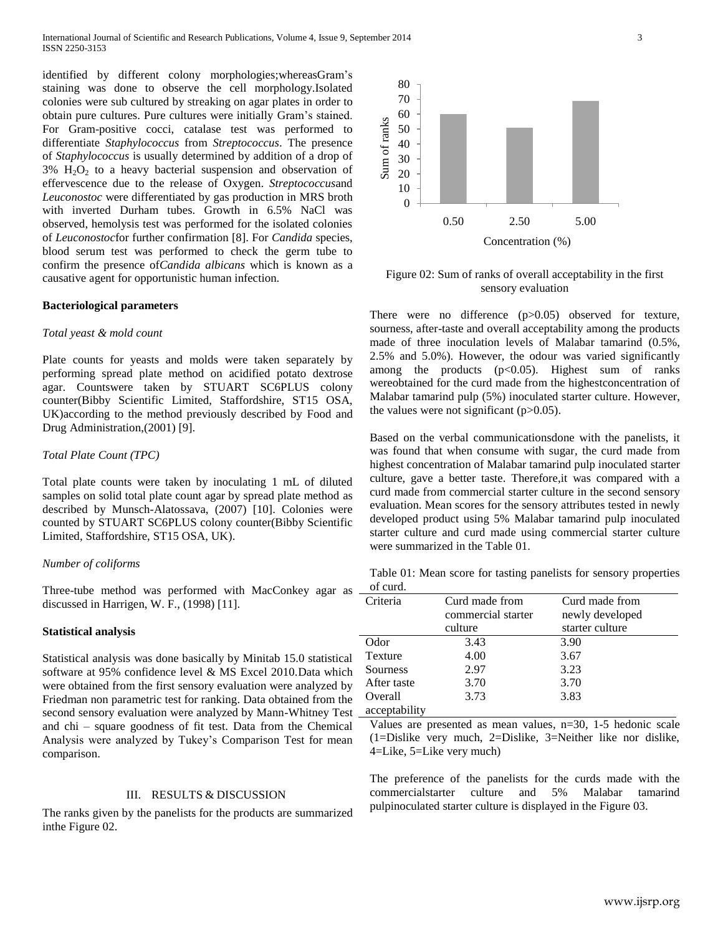identified by different colony morphologies;whereasGram's staining was done to observe the cell morphology.Isolated colonies were sub cultured by streaking on agar plates in order to obtain pure cultures. Pure cultures were initially Gram's stained. For Gram-positive cocci, catalase test was performed to differentiate *Staphylococcus* from *Streptococcus*. The presence of *Staphylococcus* is usually determined by addition of a drop of  $3\%$  H<sub>2</sub>O<sub>2</sub> to a heavy bacterial suspension and observation of effervescence due to the release of Oxygen. *Streptococcus*and *Leuconostoc* were differentiated by gas production in MRS broth with inverted Durham tubes. Growth in 6.5% NaCl was observed, hemolysis test was performed for the isolated colonies of *Leuconostoc*for further confirmation [8]. For *Candida* species, blood serum test was performed to check the germ tube to confirm the presence of*Candida albicans* which is known as a causative agent for opportunistic human infection.

#### **Bacteriological parameters**

#### *Total yeast & mold count*

Plate counts for yeasts and molds were taken separately by performing spread plate method on acidified potato dextrose agar. Countswere taken by STUART SC6PLUS colony counter(Bibby Scientific Limited, Staffordshire, ST15 OSA, UK)according to the method previously described by Food and Drug Administration,(2001) [9].

## *Total Plate Count (TPC)*

Total plate counts were taken by inoculating 1 mL of diluted samples on solid total plate count agar by spread plate method as described by Munsch-Alatossava, (2007) [10]. Colonies were counted by STUART SC6PLUS colony counter(Bibby Scientific Limited, Staffordshire, ST15 OSA, UK).

#### *Number of coliforms*

Three-tube method was performed with MacConkey agar as discussed in Harrigen, W. F., (1998) [11].

#### **Statistical analysis**

Statistical analysis was done basically by Minitab 15.0 statistical software at 95% confidence level & MS Excel 2010.Data which were obtained from the first sensory evaluation were analyzed by Friedman non parametric test for ranking. Data obtained from the second sensory evaluation were analyzed by Mann-Whitney Test and chi – square goodness of fit test. Data from the Chemical Analysis were analyzed by Tukey's Comparison Test for mean comparison.

#### III. RESULTS & DISCUSSION

The ranks given by the panelists for the products are summarized inthe Figure 02.



# Figure 02: Sum of ranks of overall acceptability in the first sensory evaluation

There were no difference (p>0.05) observed for texture, sourness, after-taste and overall acceptability among the products made of three inoculation levels of Malabar tamarind (0.5%, 2.5% and 5.0%). However, the odour was varied significantly among the products  $(p<0.05)$ . Highest sum of ranks wereobtained for the curd made from the highestconcentration of Malabar tamarind pulp (5%) inoculated starter culture. However, the values were not significant  $(p>0.05)$ .

Based on the verbal communicationsdone with the panelists, it was found that when consume with sugar, the curd made from highest concentration of Malabar tamarind pulp inoculated starter culture, gave a better taste. Therefore,it was compared with a curd made from commercial starter culture in the second sensory evaluation. Mean scores for the sensory attributes tested in newly developed product using 5% Malabar tamarind pulp inoculated starter culture and curd made using commercial starter culture were summarized in the Table 01.

Table 01: Mean score for tasting panelists for sensory properties of curd.

| ui cuiu.      |                    |                 |  |
|---------------|--------------------|-----------------|--|
| Criteria      | Curd made from     | Curd made from  |  |
|               | commercial starter | newly developed |  |
|               | culture            | starter culture |  |
| Odor          | 3.43               | 3.90            |  |
| Texture       | 4.00               | 3.67            |  |
| Sourness      | 2.97               | 3.23            |  |
| After taste   | 3.70               | 3.70            |  |
| Overall       | 3.73               | 3.83            |  |
| acceptability |                    |                 |  |

Values are presented as mean values, n=30, 1-5 hedonic scale (1=Dislike very much, 2=Dislike, 3=Neither like nor dislike, 4=Like, 5=Like very much)

The preference of the panelists for the curds made with the commercialstarter culture and 5% Malabar tamarind pulpinoculated starter culture is displayed in the Figure 03.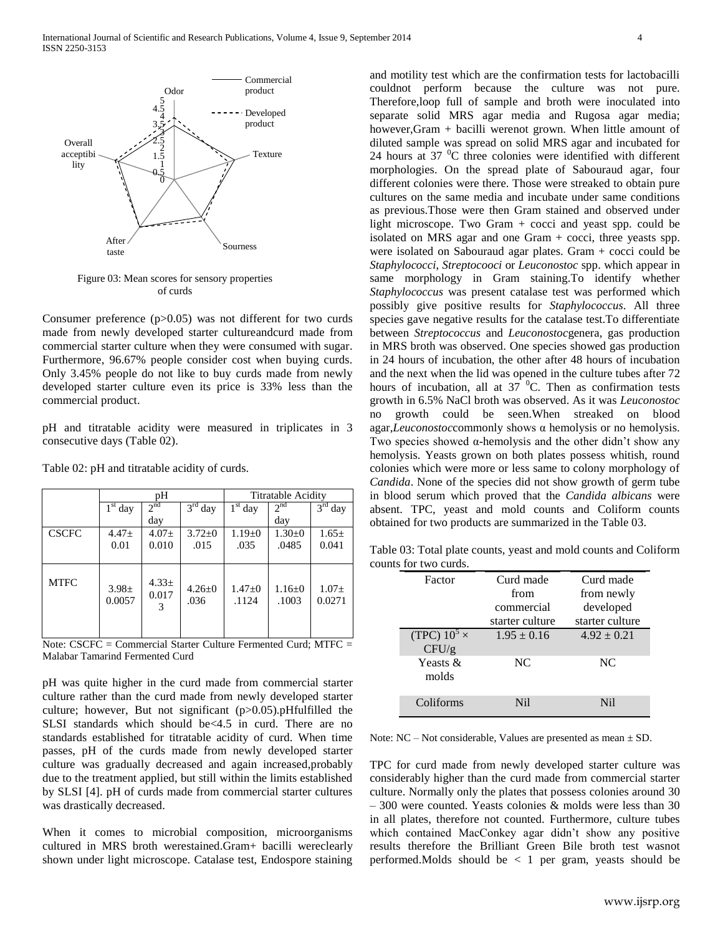

Figure 03: Mean scores for sensory properties of curds

Consumer preference (p>0.05) was not different for two curds made from newly developed starter cultureandcurd made from commercial starter culture when they were consumed with sugar. Furthermore, 96.67% people consider cost when buying curds. Only 3.45% people do not like to buy curds made from newly developed starter culture even its price is 33% less than the commercial product.

pH and titratable acidity were measured in triplicates in 3 consecutive days (Table 02).

|              | pH                   |                          |                      | Titratable Acidity  |                     |                     |
|--------------|----------------------|--------------------------|----------------------|---------------------|---------------------|---------------------|
|              | $1st$ day            | 2 <sup>nd</sup>          | $3rd$ day            | $1st$ day           | 2 <sup>nd</sup>     | $3rd$ day           |
|              |                      | day                      |                      |                     | day                 |                     |
| <b>CSCFC</b> | $4.47 \pm$           | $4.07 \pm$               | $3.72 \pm 0$         | $1.19 \pm 0$        | $1.30+0$            | $1.65 \pm$          |
|              | 0.01                 | 0.010                    | .015                 | .035                | .0485               | 0.041               |
|              |                      |                          |                      |                     |                     |                     |
| <b>MTFC</b>  | $3.98 \pm$<br>0.0057 | $4.33 \pm$<br>0.017<br>3 | $4.26 \pm 0$<br>.036 | $1.47 + 0$<br>.1124 | $1.16 + 0$<br>.1003 | $1.07\pm$<br>0.0271 |

Table 02: pH and titratable acidity of curds.

Note: CSCFC = Commercial Starter Culture Fermented Curd; MTFC = Malabar Tamarind Fermented Curd

pH was quite higher in the curd made from commercial starter culture rather than the curd made from newly developed starter culture; however, But not significant (p>0.05).pHfulfilled the SLSI standards which should be<4.5 in curd. There are no standards established for titratable acidity of curd. When time passes, pH of the curds made from newly developed starter culture was gradually decreased and again increased,probably due to the treatment applied, but still within the limits established by SLSI [4]. pH of curds made from commercial starter cultures was drastically decreased.

When it comes to microbial composition, microorganisms cultured in MRS broth werestained.Gram+ bacilli wereclearly shown under light microscope. Catalase test, Endospore staining and motility test which are the confirmation tests for lactobacilli couldnot perform because the culture was not pure. Therefore,loop full of sample and broth were inoculated into separate solid MRS agar media and Rugosa agar media; however,Gram + bacilli werenot grown. When little amount of diluted sample was spread on solid MRS agar and incubated for 24 hours at  $37 \text{ °C}$  three colonies were identified with different morphologies. On the spread plate of Sabouraud agar, four different colonies were there. Those were streaked to obtain pure cultures on the same media and incubate under same conditions as previous.Those were then Gram stained and observed under light microscope. Two Gram  $+$  cocci and yeast spp. could be isolated on MRS agar and one Gram + cocci, three yeasts spp. were isolated on Sabouraud agar plates. Gram + cocci could be *Staphylococci*, *Streptocooci* or *Leuconostoc* spp. which appear in same morphology in Gram staining.To identify whether *Staphylococcus* was present catalase test was performed which possibly give positive results for *Staphylococcus*. All three species gave negative results for the catalase test.To differentiate between *Streptococcus* and *Leuconostoc*genera, gas production in MRS broth was observed. One species showed gas production in 24 hours of incubation, the other after 48 hours of incubation and the next when the lid was opened in the culture tubes after 72 hours of incubation, all at  $37\text{ °C}$ . Then as confirmation tests growth in 6.5% NaCl broth was observed. As it was *Leuconostoc* no growth could be seen.When streaked on blood agar,*Leuconostoc*commonly shows α hemolysis or no hemolysis. Two species showed  $\alpha$ -hemolysis and the other didn't show any hemolysis. Yeasts grown on both plates possess whitish, round colonies which were more or less same to colony morphology of *Candida*. None of the species did not show growth of germ tube in blood serum which proved that the *Candida albicans* were absent. TPC, yeast and mold counts and Coliform counts obtained for two products are summarized in the Table 03.

Table 03: Total plate counts, yeast and mold counts and Coliform counts for two curds.

| Factor              | Curd made       | Curd made       |  |  |
|---------------------|-----------------|-----------------|--|--|
|                     | from            | from newly      |  |  |
|                     | commercial      | developed       |  |  |
|                     | starter culture | starter culture |  |  |
| (TPC) $10^5 \times$ | $1.95 \pm 0.16$ | $4.92 \pm 0.21$ |  |  |
| CFU/g               |                 |                 |  |  |
| Yeasts &<br>molds   | NC              | NC.             |  |  |
| Coliforms           | Ni1             | Ni1             |  |  |

Note:  $NC - Not$  considerable, Values are presented as mean  $\pm$  SD.

TPC for curd made from newly developed starter culture was considerably higher than the curd made from commercial starter culture. Normally only the plates that possess colonies around 30 – 300 were counted. Yeasts colonies & molds were less than 30 in all plates, therefore not counted. Furthermore, culture tubes which contained MacConkey agar didn't show any positive results therefore the Brilliant Green Bile broth test wasnot performed. Molds should be  $\langle 1 \rangle$  per gram, yeasts should be